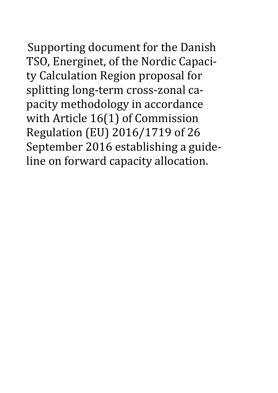Supporting document for the Danish

TSO, Energinet, of the Nordic Capacity Calculation Region proposal for splitting long-term cross-zonal capacity methodology in accordance with Article 16(1) of Commission Regulation (EU) 2016/1719 of 26 September 2016 establishing a guideline on forward capacity allocation.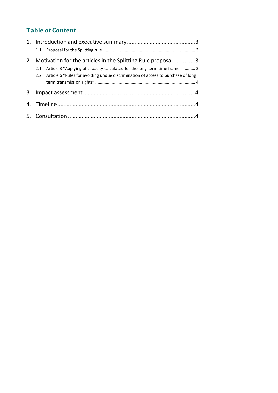# **Table of Content**

| 2. | Motivation for the articles in the Splitting Rule proposal 3                         |  |
|----|--------------------------------------------------------------------------------------|--|
|    | Article 3 "Applying of capacity calculated for the long-term time frame"  3<br>2.1   |  |
|    | 2.2 Article 6 "Rules for avoiding undue discrimination of access to purchase of long |  |
|    |                                                                                      |  |
| 3. |                                                                                      |  |
|    |                                                                                      |  |
|    |                                                                                      |  |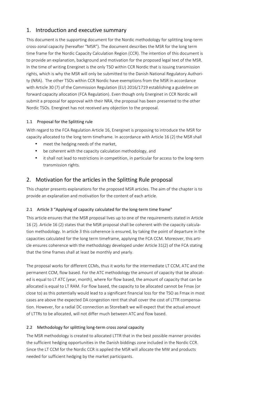# <span id="page-2-0"></span>1. Introduction and executive summary

This document is the supporting document for the Nordic methodology for splitting long-term cross-zonal capacity (hereafter "MSR"). The document describes the MSR for the long term time frame for the Nordic Capacity Calculation Region (CCR). The intention of this document is to provide an explanation, background and motivation for the proposed legal text of the MSR. In the time of writing Energinet is the only TSO within CCR Nordic that is issuing transmission rights, which is why the MSR will only be submitted to the Danish National Regulatory Authority (NRA). The other TSOs within CCR Nordic have exemptions from the MSR in accordance with Article 30 (7) of the Commission Regulation (EU) 2016/1719 establishing a guideline on forward capacity allocation (FCA Regulation). Even though only Energinet in CCR Nordic will submit a proposal for approval with their NRA, the proposal has been presented to the other Nordic TSOs. Energinet has not received any objection to the proposal.

### 1.1 Proposal for the Splitting rule

With regard to the FCA Regulation Article 16, Energinet is proposing to introduce the MSR for capacity allocated to the long term timeframe. In accordance with Article 16 (2) the MSR shall

- meet the hedging needs of the market,
- be coherent with the capacity calculation methodology, and
- it shall not lead to restrictions in competition, in particular for access to the long-term transmission rights.

# 2. Motivation for the articles in the Splitting Rule proposal

This chapter presents explanations for the proposed MSR articles. The aim of the chapter is to provide an explanation and motivation for the content of each article.

#### 2.1 Article 3 "Applying of capacity calculated for the long-term time frame"

This article ensures that the MSR proposal lives up to one of the requirements stated in Article 16 (2). Article 16 (2) states that the MSR proposal shall be coherent with the capacity calculation methodology. In article 3 this coherence is ensured, by taking the point of departure in the capacities calculated for the long term timeframe, applying the FCA CCM. Moreover, this article ensures coherence with the methodology developed under Article 31(2) of the FCA stating that the time frames shall at least be monthly and yearly.

The proposal works for different CCMs, thus it works for the intermediate LT CCM, ATC and the permanent CCM, flow based. For the ATC methodology the amount of capacity that be allocated is equal to LT ATC (year, month), where for flow based, the amount of capacity that can be allocated is equal to LT RAM. For flow based, the capacity to be allocated cannot be Fmax (or close to) as this potentially would lead to a significant financial loss for the TSO as Fmax in most cases are above the expected DA congestion rent that shall cover the cost of LTTR compensation. However, for a radial DC connection as Storebælt we will expect that the actual amount of LTTRs to be allocated, will not differ much between ATC and flow based.

## 2.2 Methodology for splitting long-term cross zonal capacity

The MSR methodology is created to allocated LTTR that in the best possible manner provides the sufficient hedging opportunities in the Danish biddings zone included in the Nordic CCR. Since the LT CCM for the Nordic CCR is applied the MSR will allocate the MW and products needed for sufficient hedging by the market participants.